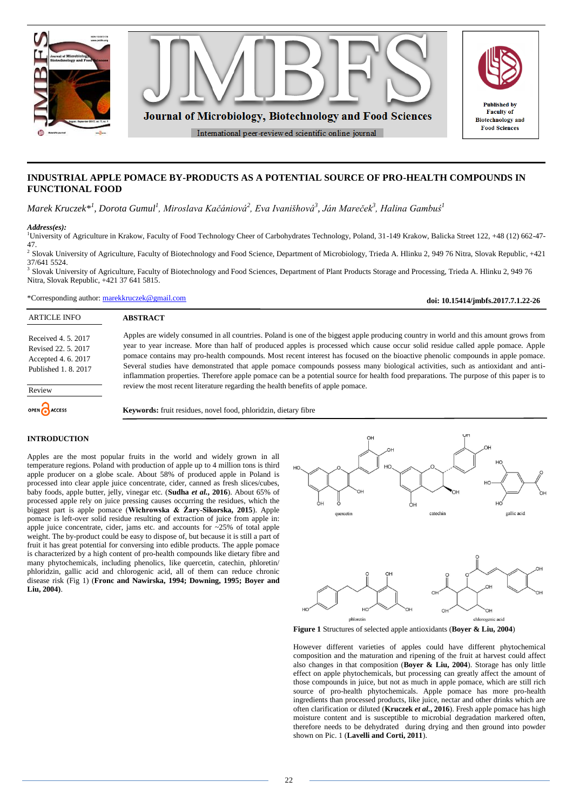

# **INDUSTRIAL APPLE POMACE BY-PRODUCTS AS A POTENTIAL SOURCE OF PRO-HEALTH COMPOUNDS IN FUNCTIONAL FOOD**

*Marek Kruczek\*<sup>1</sup> , Dorota Gumul<sup>1</sup> , Miroslava Kačániová<sup>2</sup> , Eva Ivanišhová<sup>3</sup> , Ján Mareček<sup>3</sup> , Halina Gambuś<sup>1</sup>*

#### *Address(es):*

<sup>1</sup>University of Agriculture in Krakow, Faculty of Food Technology Cheer of Carbohydrates Technology, Poland, 31-149 Krakow, Balicka Street 122, +48 (12) 662-47- 47.<br><sup>2</sup> Slovak University of Agriculture, Faculty of Biotechnology and Food Science, Department of Microbiology, Trieda A. Hlinku 2, 949 76 Nitra, Slovak Republic, +421

37/641 5524.

<sup>3</sup> Slovak University of Agriculture, Faculty of Biotechnology and Food Sciences, Department of Plant Products Storage and Processing, Trieda A. Hlinku 2, 949 76 Nitra, Slovak Republic, +421 37 641 5815.

\*Corresponding author: [marekkruczek@gmail.com](mailto:marekkruczek@gmail.com)

**doi: 10.15414/jmbfs.2017.7.1.22-26**

| <b>ARTICLE INFO</b>                                                                     | <b>ABSTRACT</b>                                                                                                                                                                                                                                                                                                                                                                                                                                                                                                                                                                                                                                                                            |  |  |
|-----------------------------------------------------------------------------------------|--------------------------------------------------------------------------------------------------------------------------------------------------------------------------------------------------------------------------------------------------------------------------------------------------------------------------------------------------------------------------------------------------------------------------------------------------------------------------------------------------------------------------------------------------------------------------------------------------------------------------------------------------------------------------------------------|--|--|
| Received 4, 5, 2017<br>Revised 22, 5, 2017<br>Accepted 4.6.2017<br>Published 1, 8, 2017 | Apples are widely consumed in all countries. Poland is one of the biggest apple producing country in world and this amount grows from<br>year to year increase. More than half of produced apples is processed which cause occur solid residue called apple pomace. Apple<br>pomace contains may pro-health compounds. Most recent interest has focused on the bioactive phenolic compounds in apple pomace.<br>Several studies have demonstrated that apple pomace compounds possess many biological activities, such as antioxidant and anti-<br>inflammation properties. Therefore apple pomace can be a potential source for health food preparations. The purpose of this paper is to |  |  |
| Review                                                                                  | review the most recent literature regarding the health benefits of apple pomace.                                                                                                                                                                                                                                                                                                                                                                                                                                                                                                                                                                                                           |  |  |
| OPEN ACCESS                                                                             | Keywords: fruit residues, novel food, phloridzin, dietary fibre                                                                                                                                                                                                                                                                                                                                                                                                                                                                                                                                                                                                                            |  |  |
|                                                                                         |                                                                                                                                                                                                                                                                                                                                                                                                                                                                                                                                                                                                                                                                                            |  |  |

### **INTRODUCTION**

Apples are the most popular fruits in the world and widely grown in all temperature regions. Poland with production of apple up to 4 million tons is third apple producer on a globe scale. About 58% of produced apple in Poland is processed into clear apple juice concentrate, cider, canned as fresh slices/cubes, baby foods, apple butter, jelly, vinegar etc. (**Sudha** *et al.***, 2016**). About 65% of processed apple rely on juice pressing causes occurring the residues, which the biggest part is apple pomace (**Wichrowska & Żary-Sikorska, 2015**). Apple pomace is left-over solid residue resulting of extraction of juice from apple in: apple juice concentrate, cider, jams etc. and accounts for ~25% of total apple weight. The by-product could be easy to dispose of, but because it is still a part of fruit it has great potential for conversing into edible products. The apple pomace is characterized by a high content of pro-health compounds like dietary fibre and many phytochemicals, including phenolics, like quercetin, catechin, phloretin/ phloridzin, gallic acid and chlorogenic acid, all of them can reduce chronic disease risk (Fig 1) (**Fronc and Nawirska, 1994; Downing, 1995; Boyer and Liu, 2004)**.



**Figure 1** Structures of selected apple antioxidants (**Boyer & Liu, 2004**)

However different varieties of apples could have different phytochemical composition and the maturation and ripening of the fruit at harvest could affect also changes in that composition (**Boyer & Liu, 2004**). Storage has only little effect on apple phytochemicals, but processing can greatly affect the amount of those compounds in juice, but not as much in apple pomace, which are still rich source of pro-health phytochemicals. Apple pomace has more pro-health ingredients than processed products, like juice, nectar and other drinks which are often clarification or diluted (**Kruczek** *et al.***, 2016**). Fresh apple pomace has high moisture content and is susceptible to microbial degradation markered often, therefore needs to be dehydrated during drying and then ground into powder shown on Pic. 1 (**Lavelli and Corti, 2011**).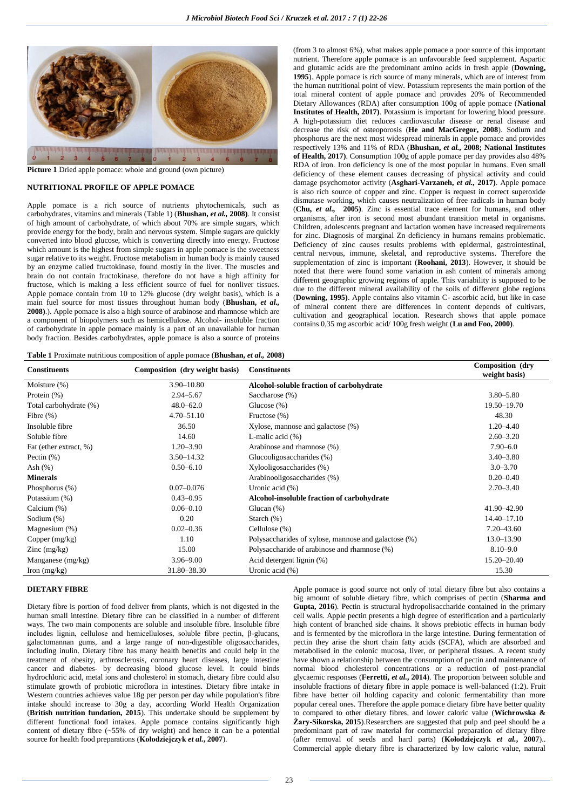

**Picture 1** Dried apple pomace: whole and ground (own picture)

#### **NUTRITIONAL PROFILE OF APPLE POMACE**

Apple pomace is a rich source of nutrients phytochemicals, such as carbohydrates, vitamins and minerals (Table 1) (**Bhushan,** *et al.,* **2008)**. It consist of high amount of carbohydrate, of which about 70% are simple sugars, which provide energy for the body, brain and nervous system. Simple sugars are quickly converted into blood glucose, which is converting directly into energy. Fructose which amount is the highest from simple sugars in apple pomace is the sweetness sugar relative to its weight. Fructose metabolism in human body is mainly caused by an enzyme called fructokinase, found mostly in the liver. The muscles and brain do not contain fructokinase, therefore do not have a high affinity for fructose, which is making a less efficient source of fuel for nonliver tissues. Apple pomace contain from 10 to 12% glucose (dry weight basis), which is a main fuel source for most tissues throughout human body (**Bhushan,** *et al.,*  **2008)**.). Apple pomace is also a high source of arabinose and rhamnose which are a component of biopolymers such as hemicellulose. Alcohol- insoluble fraction of carbohydrate in apple pomace mainly is a part of an unavailable for human body fraction. Besides carbohydrates, apple pomace is also a source of proteins (from 3 to almost 6%), what makes apple pomace a poor source of this important nutrient. Therefore apple pomace is an unfavourable feed supplement. Aspartic and glutamic acids are the predominant amino acids in fresh apple (**Downing, 1995**). Apple pomace is rich source of many minerals, which are of interest from the human nutritional point of view. Potassium represents the main portion of the total mineral content of apple pomace and provides 20% of Recommended Dietary Allowances (RDA) after consumption 100g of apple pomace (**National Institutes of Health, 2017)**. Potassium is important for lowering blood pressure. A high-potassium diet reduces cardiovascular disease or renal disease and decrease the risk of osteoporosis (**He and MacGregor, 2008**). Sodium and phosphorus are the next most widespread minerals in apple pomace and provides respectively 13% and 11% of RDA (**Bhushan,** *et al.,* **2008; National Institutes of Health, 2017)**. Consumption 100g of apple pomace per day provides also 48% RDA of iron. Iron deficiency is one of the most popular in humans. Even small deficiency of these element causes decreasing of physical activity and could damage psychomotor activity (**Asghari-Varzaneh,** *et al.,* **2017)**. Apple pomace is also rich source of copper and zinc. Copper is request in correct superoxide dismutase working, which causes neutralization of free radicals in human body (**Chu,** *et al.,* **2005)**. Zinc is essential trace element for humans, and other organisms, after iron is second most abundant transition metal in organisms. Children, adolescents pregnant and lactation women have increased requirements for zinc. Diagnosis of marginal Zn deficiency in humans remains problematic. Deficiency of zinc causes results problems with epidermal, gastrointestinal, central nervous, immune, skeletal, and reproductive systems. Therefore the supplementation of zinc is important (**Roohani, 2013**). However, it should be noted that there were found some variation in ash content of minerals among different geographic growing regions of apple. This variability is supposed to be due to the different mineral availability of the soils of different globe regions (**Downing, 1995)**. Apple contains also vitamin C- ascorbic acid, but like in case of mineral content there are differences in content depends of cultivars, cultivation and geographical location. Research shows that apple pomace contains 0,35 mg ascorbic acid/ 100g fresh weight (**Lu and Foo, 2000)**.

## **Table 1** Proximate nutritious composition of apple pomace (**Bhushan,** *et al.,* **2008)**

| <b>Constituents</b>    | Composition (dry weight basis) | <b>Constituents</b>                                  | Composition (dry<br>weight basis) |
|------------------------|--------------------------------|------------------------------------------------------|-----------------------------------|
| Moisture (%)           | $3.90 - 10.80$                 | Alcohol-soluble fraction of carbohydrate             |                                   |
| Protein (%)            | $2.94 - 5.67$                  | Saccharose (%)                                       | $3.80 - 5.80$                     |
| Total carbohydrate (%) | $48.0 - 62.0$                  | Glucose $(\%)$                                       | 19.50-19.70                       |
| Fibre $(\%)$           | $4.70 - 51.10$                 | Fructose (%)                                         | 48.30                             |
| Insoluble fibre        | 36.50                          | Xylose, mannose and galactose (%)                    | $1.20 - 4.40$                     |
| Soluble fibre          | 14.60                          | L-malic acid $(\%)$                                  | $2.60 - 3.20$                     |
| Fat (ether extract, %) | $1.20 - 3.90$                  | Arabinose and rhamnose (%)                           | $7.90 - 6.0$                      |
| Pectin $(\%)$          | $3.50 - 14.32$                 | Glucooligosaccharides (%)                            | $3.40 - 3.80$                     |
| Ash $(\%)$             | $0.50 - 6.10$                  | Xylooligosaccharides (%)                             | $3.0 - 3.70$                      |
| <b>Minerals</b>        |                                | Arabinooligosaccharides (%)                          | $0.20 - 0.40$                     |
| Phosphorus (%)         | $0.07 - 0.076$                 | Uronic acid $(\% )$                                  | $2.70 - 3.40$                     |
| Potassium (%)          | $0.43 - 0.95$                  | Alcohol-insoluble fraction of carbohydrate           |                                   |
| Calcium (%)            | $0.06 - 0.10$                  | Glucan $(\%)$                                        | 41.90-42.90                       |
| Sodium (%)             | 0.20                           | Starch $(\%)$                                        | 14.40-17.10                       |
| Magnesium (%)          | $0.02 - 0.36$                  | Cellulose $(\%)$                                     | 7.20 - 43.60                      |
| Copper $(mg/kg)$       | 1.10                           | Polysaccharides of xylose, mannose and galactose (%) | 13.0-13.90                        |
| Zinc $(mg/kg)$         | 15.00                          | Polysaccharide of arabinose and rhamnose (%)         | $8.10 - 9.0$                      |
| Manganese (mg/kg)      | $3.96 - 9.00$                  | Acid detergent lignin (%)                            | 15.20-20.40                       |
| Iron $(mg/kg)$         | 31.80 - 38.30                  | Uronic acid $(\%)$                                   | 15.30                             |

#### **DIETARY FIBRE**

Dietary fibre is portion of food deliver from plants, which is not digested in the human small intestine. Dietary fibre can be classified in a number of different ways. The two main components are soluble and insoluble fibre. Insoluble fibre includes lignin, cellulose and hemicelluloses, soluble fibre pectin, β-glucans, galactomannan gums, and a large range of non-digestible oligosaccharides, including inulin. Dietary fibre has many health benefits and could help in the treatment of obesity, arthrosclerosis, coronary heart diseases, large intestine cancer and diabetes- by decreasing blood glucose level. It could binds hydrochloric acid, metal ions and cholesterol in stomach, dietary fibre could also stimulate growth of probiotic microflora in intestines. Dietary fibre intake in Western countries achieves value 18g per person per day while population's fibre intake should increase to 30g a day, according World Health Organization (**British nutrition fundation, 2015**). This undertake should be supplement by different functional food intakes. Apple pomace contains significantly high content of dietary fibre (~55% of dry weight) and hence it can be a potential source for health food preparations (**Kołodziejczyk** *et al.***, 2007**).

Apple pomace is good source not only of total dietary fibre but also contains a big amount of soluble dietary fibre, which comprises of pectin (**Sharma and Gupta, 2016**). Pectin is structural hydropolisaccharide contained in the primary cell walls. Apple pectin presents a high degree of esterification and a particularly high content of branched side chains. It shows prebiotic effects in human body and is fermented by the microflora in the large intestine. During fermentation of pectin they arise the short chain fatty acids (SCFA), which are absorbed and metabolised in the colonic mucosa, liver, or peripheral tissues. A recent study have shown a relationship between the consumption of pectin and maintenance of normal blood cholesterol concentrations or a reduction of post-prandial glycaemic responses (**Ferretti,** *et al.***, 2014**). The proportion between soluble and insoluble fractions of dietary fibre in apple pomace is well-balanced (1:2). Fruit fibre have better oil holding capacity and colonic fermentability than more popular cereal ones. Therefore the apple pomace dietary fibre have better quality to compared to other dietary fibres, and lower caloric value (**Wichrowska & Żary-Sikorska, 2015**).Researchers are suggested that pulp and peel should be a predominant part of raw material for commercial preparation of dietary fibre (after removal of seeds and hard parts) (**Kołodziejczyk** *et al.***, 2007**).. Commercial apple dietary fibre is characterized by low caloric value, natural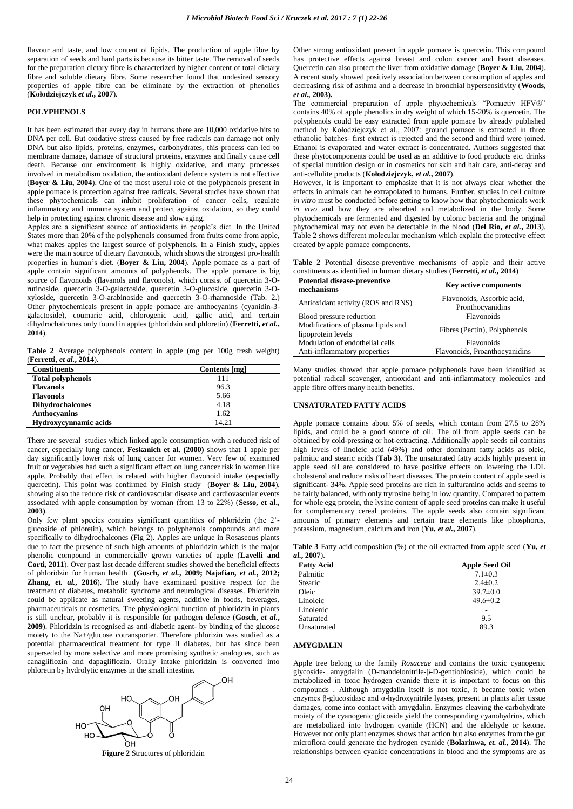flavour and taste, and low content of lipids. The production of apple fibre by separation of seeds and hard parts is because its bitter taste. The removal of seeds for the preparation dietary fibre is characterized by higher content of total dietary fibre and soluble dietary fibre. Some researcher found that undesired sensory properties of apple fibre can be eliminate by the extraction of phenolics (**Kołodziejczyk** *et al.***, 2007**).

### **POLYPHENOLS**

It has been estimated that every day in humans there are 10,000 oxidative hits to DNA per cell. But oxidative stress caused by free radicals can damage not only DNA but also lipids, proteins, enzymes, carbohydrates, this process can led to membrane damage, damage of structural proteins, enzymes and finally cause cell death. Because our environment is highly oxidative, and many processes involved in metabolism oxidation, the antioxidant defence system is not effective (**Boyer & Liu, 2004**). One of the most useful role of the polyphenols present in apple pomace is protection against free radicals. Several studies have shown that these phytochemicals can inhibit proliferation of cancer cells, regulate inflammatory and immune system and protect against oxidation, so they could help in protecting against chronic disease and slow aging.

Apples are a significant source of antioxidants in people's diet. In the United States more than 20% of the polyphenols consumed from fruits come from apple, what makes apples the largest source of polyphenols. In a Finish study, apples were the main source of dietary flavonoids, which shows the strongest pro-health properties in human's diet. (**Boyer & Liu, 2004**). Apple pomace as a part of apple contain significant amounts of polyphenols. The apple pomace is big source of flavonoids (flavanols and flavonols), which consist of quercetin 3-Orutinoside, quercetin 3-O-galactoside, quercetin 3-O-glucoside, quercetin 3-Oxyloside, quercetin 3-O-arabinoside and quercetin 3-O-rhamnoside (Tab. 2.) Other phytochemicals present in apple pomace are anthocyanins (cyanidin-3 galactoside), coumaric acid, chlorogenic acid, gallic acid, and certain dihydrochalcones only found in apples (phloridzin and phloretin) (**Ferretti,** *et al.***, 2014**).

**Table 2** Average polyphenols content in apple (mg per 100g fresh weight) (**Ferretti,** *et al.***, 2014**).

| <b>Constituents</b>      | Contents [mg] |
|--------------------------|---------------|
| <b>Total polyphenols</b> | 111           |
| <b>Flavanols</b>         | 96.3          |
| <b>Flavonols</b>         | 5.66          |
| <b>Dihydrochalcones</b>  | 4.18          |
| Anthocyanins             | 1.62          |
| Hydroxycynnamic acids    | 14.21         |

There are several studies which linked apple consumption with a reduced risk of cancer, especially lung cancer. **Feskanich et al. (2000)** shows that 1 apple per day significantly lower risk of lung cancer for women. Very few of examined fruit or vegetables had such a significant effect on lung cancer risk in women like apple. Probably that effect is related with higher flavonoid intake (especially quercetin). This point was confirmed by Finish study (**Boyer & Liu, 2004**), showing also the reduce risk of cardiovascular disease and cardiovascular events associated with apple consumption by woman (from 13 to 22%) (**Sesso, et al., 2003)**.

Only few plant species contains significant quantities of phloridzin (the 2' glucoside of phloretin), which belongs to polyphenols compounds and more specifically to dihydrochalcones (Fig 2). Apples are unique in Rosaseous plants due to fact the presence of such high amounts of phloridzin which is the major phenolic compound in commercially grown varieties of apple (**Lavelli and Corti, 2011**). Over past last decade different studies showed the beneficial effects of phloridzin for human health (**Gosch,** *et al.***, 2009; Najafian,** *et al.***, 2012; Zhang,** *et. al.***, 2016**). The study have examinaed positive respect for the treatment of diabetes, metabolic syndrome and neurological diseases. Phloridzin could be applicate as natural sweeting agents, additive in foods, beverages, pharmaceuticals or cosmetics. The physiological function of phloridzin in plants is still unclear, probably it is responsible for pathogen defence (Gosch, *et al.*, **2009**). Phloridzin is recognised as anti-diabetic agent- by binding of the glucose moiety to the Na+/glucose cotransporter. Therefore phlorizin was studied as a potential pharmaceutical treatment for type II diabetes, but has since been superseded by more selective and more promising synthetic analogues, such as canagliflozin and dapagliflozin. Orally intake phloridzin is converted into phloretin by hydrolytic enzymes in the small intestine.



**Figure 2** Structures of phloridzin

Other strong antioxidant present in apple pomace is quercetin. This compound has protective effects against breast and colon cancer and heart diseases. Quercetin can also protect the liver from oxidative damage (**Boyer & Liu, 2004**). A recent study showed positively association between consumption af apples and decreasinng risk of asthma and a decrease in bronchial hypersensitivity (**Woods,**  *et al.,* **2003).**

The commercial preparation of apple phytochemicals "Pomactiv HFV®" contains 40% of apple phenolics in dry weight of which 15-20% is quercetin. The polyphenols could be easy extracted from apple pomace by already published method by Kołodziejczyk et al., 2007: ground pomace is extracted in three ethanolic batches- first extract is rejected and the second and third were joined. Ethanol is evaporated and water extract is concentrated. Authors suggested that these phytocomponents could be used as an additive to food products etc. drinks of special nutrition design or in cosmetics for skin and hair care, anti-decay and anti-cellulite products (**Kołodziejczyk,** *et al.***, 2007**).

However, it is important to emphasize that it is not always clear whether the effects in animals can be extrapolated to humans. Further, studies in cell culture *in vitro* must be conducted before getting to know how that phytochemicals work *in vivo* and how they are absorbed and metabolized in the body. Some phytochemicals are fermented and digested by colonic bacteria and the original phytochemical may not even be detectable in the blood (**Del Rio,** *et al.***, 2013**). Table 2 shows different molecular mechanism which explain the protective effect created by apple pomace components.

**Table 2** Potential disease-preventive mechanisms of apple and their active constituents as identified in human dietary studies (**Ferretti,** *et al.***, 2014**)

| <b>Potential disease-preventive</b><br>mechanisms | <b>Key active components</b>  |  |
|---------------------------------------------------|-------------------------------|--|
| Antioxidant activity (ROS and RNS)                | Flavonoids, Ascorbic acid,    |  |
|                                                   | Pronthocyanidins              |  |
| Blood pressure reduction                          | Flavonoids                    |  |
| Modifications of plasma lipids and                | Fibres (Pectin), Polyphenols  |  |
| lipoprotein levels                                |                               |  |
| Modulation of endothelial cells                   | Flavonoids                    |  |
| Anti-inflammatory properties                      | Flavonoids, Proanthocyanidins |  |

Many studies showed that apple pomace polyphenols have been identified as potential radical scavenger, antioxidant and anti-inflammatory molecules and apple fibre offers many health benefits.

### **UNSATURATED FATTY ACIDS**

Apple pomace contains about 5% of seeds, which contain from 27.5 to 28% lipids, and could be a good source of oil. The oil from apple seeds can be obtained by cold-pressing or hot-extracting. Additionally apple seeds oil contains high levels of linoleic acid (49%) and other dominant fatty acids as oleic, palmitic and stearic acids (**Tab 3)**. The unsaturated fatty acids highly present in apple seed oil are considered to have positive effects on lowering the LDL cholesterol and reduce risks of heart diseases. The protein content of apple seed is significant- 34%. Apple seed proteins are rich in sulfuramino acids and seems to be fairly balanced, with only tryrosine being in low quantity. Compared to pattern for whole egg protein, the lysine content of apple seed proteins can make it useful for complementary cereal proteins. The apple seeds also contain significant amounts of primary elements and certain trace elements like phosphorus, potassium, magnesium, calcium and iron (**Yu,** *et al.***, 2007**).

**Table 3** Fatty acid composition (%) of the oil extracted from apple seed (**Yu,** *et al.***, 2007**).

| <b>Apple Seed Oil</b> |  |
|-----------------------|--|
| $7.1 \pm 0.3$         |  |
| $2.4 \pm 0.2$         |  |
| $39.7 \pm 0.0$        |  |
| $49.6 \pm 0.2$        |  |
|                       |  |
| 9.5                   |  |
| 89.3                  |  |
|                       |  |

### **AMYGDALIN**

Apple tree belong to the family *Rosaceae* and contains the toxic cyanogenic glycoside- amygdalin (D-mandelonitrile-β-D-gentiobioside), which could be metabolized in toxic hydrogen cyanide there it is important to focus on this compounds . Although amygdalin itself is not toxic, it became toxic when enzymes β-glucosidase and α-hydroxynitrile lyases, present in plants after tissue damages, come into contact with amygdalin. Enzymes cleaving the carbohydrate moiety of the cyanogenic glicoside yield the corresponding cyanohydrins, which are metabolized into hydrogen cyanide (HCN) and the aldehyde or ketone. However not only plant enzymes shows that action but also enzymes from the gut microflora could generate the hydrogen cyanide (**Bolarinwa,** *et. al.,* **2014**). The relationships between cyanide concentrations in blood and the symptoms are as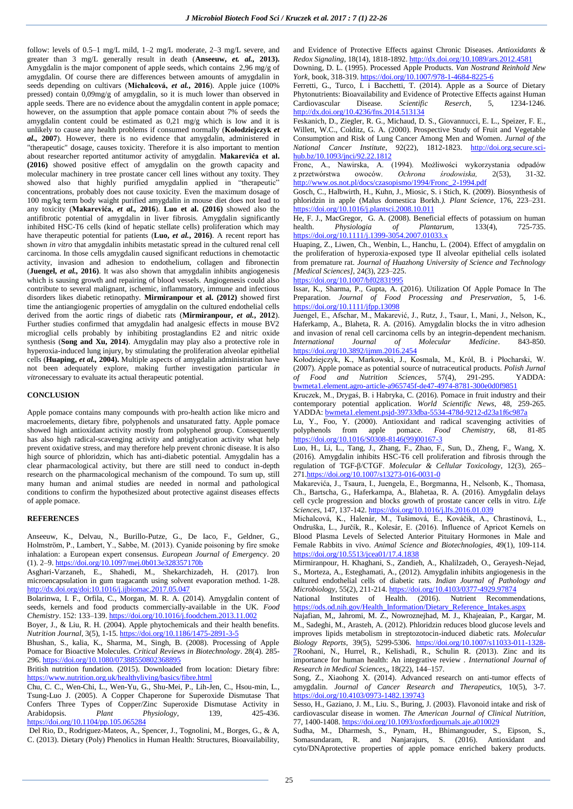follow: levels of 0.5–1 mg/L mild, 1–2 mg/L moderate, 2–3 mg/L severe, and greater than 3 mg/L generally result in death (**Anseeuw,** *et. al.,* **2013).**  Amygdalin is the major component of apple seeds, which contains 2,96 mg/g of amygdalin. Of course there are differences between amounts of amygdalin in seeds depending on cultivars (**Michalcová,** *et al.***, 2016**). Apple juice (100% pressed) contain 0,09mg/g of amygdalin, so it is much lower than observed in apple seeds. There are no evidence about the amygdalin content in apple pomace; however, on the assumption that apple pomace contain about 7% of seeds the amygdalin content could be estimated as 0,21 mg/g which is low and it is unlikely to cause any health problems if consumed normally (**Kołodziejczyk** *et al.***, 2007**). However, there is no evidence that amygdalin, administered in "therapeutic" dosage, causes toxicity. Therefore it is also important to mention about researcher reported antitumor activity of amygdalin. **Makarevića et al. (2016)** showed positive effect of amygdalin on the growth capacity and molecular machinery in tree prostate cancer cell lines without any toxity. They showed also that highly purified amygdalin applied in "therapeutic" concentrations, probably does not cause toxicity. Even the maximum dosage of 100 mg/kg term body waight purified amygdalin in mouse diet does not lead to any toxicity (**Makarevića,** *et al.,* **2016**). **Luo et al. (2016)** showed also the antifibrotic potential of amygdalin in liver fibrosis. Amygdalin significantly inhibited HSC-T6 cells (kind of hepatic stellate cells) proliferation which may have therapeutic potential for patients (**Luo,** *et al.***, 2016)**. A recent report has shown *in vitro* that amygdalin inhibits metastatic spread in the cultured renal cell carcinoma. In those cells amygdalin caused significant reductions in chemotactic activity, invasion and adhesion to endothelium, collagen and fibronectin (**Juengel,** *et al.,* **2016)**. It was also shown that amygdalin inhibits angiogenesis which is sausing growth and repairing of blood vessels. Angiogenesis could also contribute to several malignant, ischemic, inflammatory, immune and infectious disorders likes diabetic retinopathy. **Mirmiranpour et al. (2012)** showed first time the antiangiogenic properties of amygdalin on the cultured endothelial cells derived from the aortic rings of diabetic rats (**Mirmiranpour,** *et al.***, 2012**). Further studies confirmed that amygdalin had analgesic effects in mouse BV2 microglial cells probably by inhibiting prostaglandins E2 and nitric oxide synthesis (**Song and Xu, 2014)**. Amygdalin may play also a protective role in hyperoxia-induced lung injury, by stimulating the proliferation alveolar epithelial cells (**Huaping,** *et al.,* **2004).** Multiple aspects of amygdalin administration have not been adequately explore, making further investigation particular *in vitro*necessary to evaluate its actual therapeutic potential.

#### **CONCLUSION**

Apple pomace contains many compounds with pro-health action like micro and macroelements, dietary fibre, polyphenols and unsaturated fatty. Apple pomace showed high antioxidant activity mostly from polyphenol group. Consequently has also high radical-scavenging activity and antiglycation activity what help prevent oxidative stress, and may therefore help prevent chronic disease. It is also high source of phloridzin, which has anti-diabetic potential. Amygdalin has a clear pharmacological activity, but there are still need to conduct in-depth research on the pharmacological mechanism of the compound. To sum up, still many human and animal studies are needed in normal and pathological conditions to confirm the hypothesized about protective against diseases effects of apple pomace.

#### **REFERENCES**

Anseeuw, K., Delvau, N., Burillo-Putze, G., De Iaco, F., Geldner, G., Holmström, P., Lambert, Y., Sabbe, M. (2013). Cyanide poisoning by fire smoke inhalation: a European expert consensus*. European Journal of Emergency*. 20 (1). 2–9[. https://doi.org/10.1097/mej.0b013e328357170b](https://doi.org/10.1097/mej.0b013e328357170b)

Asghari-Varzaneh, E., Shahedi, M., Shekarchizadeh, H. (2017). Iron microencapsulation in gum tragacanth using solvent evaporation method. 1-28. <http://dx.doi.org/doi:10.1016/j.ijbiomac.2017.05.047>

Bolarinwa, I. F., Orfila, C., Morgan, M. R. A. (2014). Amygdalin content of seeds, kernels and food products commercially-available in the UK. *Food Chemistry*. 152: 133–139[. https://doi.org/10.1016/j.foodchem.2013.11.002](https://doi.org/10.1016/j.foodchem.2013.11.002)

Boyer, J., & Liu, R. H. (2004). Apple phytochemicals and their health benefits. *Nutrition Journal*, 3(5), 1-15[. https://doi.org/10.1186/1475-2891-3-5](https://doi.org/10.1186/1475-2891-3-5)

Bhushan, S., kalia, K., Sharma, M., Singh, B. (2008). Processing of Apple Pomace for Bioactive Molecules. *Critical Reviews in Biotechnology*. 28(4). 285- 296[. https://doi.org/10.1080/07388550802368895](https://doi.org/10.1080/07388550802368895)

British nutrition fundation. (2015). Downloaded from location: Dietary fibre: <https://www.nutrition.org.uk/healthyliving/basics/fibre.html>

Chu, C. C., Wen-Chi, L., Wen-Yu, G., Shu-Mei, P., Lih-Jen, C., Hsou-min, L., Tsung-Luo J. (2005). A Copper Chaperone for Superoxide Dismutase That Confers Three Types of Copper/Zinc Superoxide Dismutase Activity in Arabidopsis. Plant Physiology, 139, 425-436. Arabidopsis. *Plant Physiology*, 139, <https://doi.org/10.1104/pp.105.065284>

Del Rio, D., Rodriguez-Mateos, A., Spencer, J., Tognolini, M., Borges, G., & A, C. (2013). Dietary (Poly) Phenolics in Human Health: Structures, Bioavailability, and Evidence of Protective Effects against Chronic Diseases. *Antioxidants & Redox Signaling*, 18(14), 1818-1892[. http://dx.doi.org/10.1089/ars.2012.4581](http://dx.doi.org/10.1089/ars.2012.4581) Downing, D. L. (1995). Processed Apple Products. *Van Nostrand Reinhold New York*, book, 318-319[. https://doi.org/10.1007/978-1-4684-8225-6](https://doi.org/10.1007/978-1-4684-8225-6)

Ferretti, G., Turco, I. i Bacchetti, T. (2014). Apple as a Source of Dietary Phytonutrients: Bioavailability and Evidence of Protective Effects against Human Cardiovascular Disease. *Scientific Reserch*, 5, 1234-1246. <http://dx.doi.org/10.4236/fns.2014.513134>

Feskanich, D., Ziegler, R. G., Michaud, D. S., Giovannucci, E. L., Speizer, F. E., Willett, W.C., Colditz, G. A. (2000). Prospective Study of Fruit and Vegetable Consumption and Risk of Lung Cancer Among Men and Women. *Jurnal of the National Cancer Institute*, 92(22), 1812-1823. [http://doi.org.secure.sci](http://doi.org.secure.sci-hub.bz/10.1093/jnci/92.22.1812)[hub.bz/10.1093/jnci/92.22.1812](http://doi.org.secure.sci-hub.bz/10.1093/jnci/92.22.1812)

Fronc, A., Nawirska, A. (1994). Możliwości wykorzystania odpadów z przetwórstwa owoców. *Ochrona środowiska,* 2(53), 31-32. [http://www.os.not.pl/docs/czasopismo/1994/Fronc\\_2-1994.pdf](http://www.os.not.pl/docs/czasopismo/1994/Fronc_2-1994.pdf)

Gosch, C., Halbwirth, H., Kuhn, J., Miosic, S. i Stich, K. (2009). Biosynthesis of phloridzin in apple (Malus domestica Borkh*.). Plant Science*, 176, 223–231. <https://doi.org/10.1016/j.plantsci.2008.10.011>

He, F. J., MacGregor, G. A. (2008). Beneficial effects of potassium on human health. *Physiologia* of *Plantarum*, 133(4), 725-735. health. *Physiologia of Plantarum,* 133(4), 725-735. <https://doi.org/10.1111/j.1399-3054.2007.01033.x>

Huaping, Z., Liwen, Ch., Wenbin, L., Hanchu, L. (2004). Effect of amygdalin on the proliferation of hyperoxia-exposed type II alveolar epithelial cells isolated from premature rat. *Journal of Huazhong University of Science and Technology [Medical Sciences],* 24(3), 223–225.

<https://doi.org/10.1007/bf02831995>

Issar, K., Sharma, P., Gupta, A. (2016). Utilization Of Apple Pomace In The Preparation. *Journal of Food Processing and Preservation*, 5, 1-6. <https://doi.org/10.1111/jfpp.13098>

Juengel, E., Afschar, M., Makarević, J., Rutz, J., Tsaur, I., Mani, J., Nelson, K., Haferkamp, A., Blaheta, R. A. (2016). Amygdalin blocks the in vitro adhesion and invasion of renal cell carcinoma cells by an integrin-dependent mechanism.<br> *International Journal of Molecular Medicine*. 843-850. *International Journal of Molecular Medicine*. 843-850. <https://doi.org/10.3892/ijmm.2016.2454>

Kołodziejczyk, K., Markowski, J., Kosmala, M., Król, B. i Płocharski, W. (2007). Apple pomace as potential source of nutraceutical products. *Polish Jurnal of Food and Nutrition Sciences*, 57(4), 291-295. YADDA: [bwmeta1.element.agro-article-a965745f-de47-4974-8781-300e0d0f9851](http://agro.icm.edu.pl/agro/element/bwmeta1.element.agro-article-a965745f-de47-4974-8781-300e0d0f9851/c/praca_053_291-295.pdf)

Kruczek, M., Drygaś, B. i Habryka, C. (2016). Pomace in fruit industry and their contemporary potential application. *World Scientific News*, 48, 259-265. YADDA: [bwmeta1.element.psjd-39733dba-5534-478d-9212-d23a1f6c987a](http://psjd.icm.edu.pl/psjd/element/bwmeta1.element.psjd-39733dba-5534-478d-9212-d23a1f6c987a)

Lu, Y., Foo, Y. (2000). Antioxidant and radical scavenging activities of polyphenols from apple pomace. *Food Chemistry,* 68, 81-85 [https://doi.org/10.1016/S0308-8146\(99\)00167-3](https://doi.org/10.1016/S0308-8146(99)00167-3)

Luo, H., Li, L., Tang, J., Zhang, F., Zhao, F., Sun, D., Zheng, F., Wang, X. (2016). Amygdalin inhibits HSC-T6 cell proliferation and fibrosis through the regulation of TGF-β/CTGF. *Molecular & Cellular Toxicology*, 12(3), 265– 27[1.https://doi.org/10.1007/s13273-016-0031-0](https://doi.org/10.1007/s13273-016-0031-0)

Makarevića, J., Tsaura, I., Juengela, E., Borgmanna, H., Nelsonb, K., Thomasa, Ch., Bartscha, G., Haferkampa, A., Blahetaa, R. A. (2016). Amygdalin delays cell cycle progression and blocks growth of prostate cancer cells in vitro. *Life Sciences*, 147, 137-142[. https://doi.org/10.1016/j.lfs.2016.01.039](https://doi.org/10.1016/j.lfs.2016.01.039)

Michalcová, K., Halenár, M., Tušimová, E., Kováčik, A., Chrastinová, L., Ondruška, L., Jurčík, R., Kolesár, E. (2016). Influence of Apricot Kernels on Blood Plasma Levels of Selected Anterior Pituitary Hormones in Male and Female Rabbits in vivo. *Animal Science and Biotechnologies*, 49(1), 109-114. <https://doi.org/10.5513/jcea01/17.4.1838>

Mirmiranpour, H. Khaghani, S., Zandieh, A., Khalilzadeh, O., Gerayesh-Nejad, S., Morteza, A., Esteghamati, A., (2012). Amygdalin inhibits angiogenesis in the cultured endothelial cells of diabetic rats*. Indian Journal of Pathology and Microbiology*, 55(2), 211-214[. https://doi.org/10.4103/0377-4929.97874](https://doi.org/10.4103/0377-4929.97874)

National Institutes of Health. (2016). Nutrient Recommendations, [https://ods.od.nih.gov/Health\\_Information/Dietary\\_Reference\\_Intakes.aspx](https://ods.od.nih.gov/Health_Information/Dietary_Reference_Intakes.aspx)

Najafian, M,, Jahromi, M. Z., Nowroznejhad, M. J., Khajeaian, P., Kargar, M. M., Sadeghi, M., Arasteh, A. (2012). Phloridzin reduces blood glucose levels and improves lipids metabolism in streptozotocin-induced diabetic rats. *Molecular Biology Reports*, 39(5), 5299-5306. [https://doi.org/10.1007/s11033-011-1328-](https://doi.org/10.1007/s11033-011-1328-7) [7R](https://doi.org/10.1007/s11033-011-1328-7)oohani, N., Hurrel, R., Kelishadi, R., Schulin R. (2013). Zinc and its importance for human health: An integrative review . *International Journal of Research in Medical Sciences*,*,* 18(22), 144–157.

Song, Z., Xiaohong X. (2014). Advanced research on anti-tumor effects of amygdalin. *Journal of Cancer Research and Therapeutics*, 10(5), 3-7. <https://doi.org/10.4103/0973-1482.139743>

Sesso, H., Gaziano, J. M., Liu. S., Buring, J. (2003). Flavonoid intake and risk of cardiovascular disease in women*. The American Journal of Clinical Nutrition*, 77, 1400-1408[. https://doi.org/10.1093/oxfordjournals.aje.a010029](https://doi.org/10.1093/oxfordjournals.aje.a010029)

Sudha, M., Dharmesh, S., Pynam, H., Bhimangouder, S., Eipson, S., Somasundaram, R. and Nanjarajurs, S. (2016). Antioxidant and cyto/DNAprotective properties of apple pomace enriched bakery products.